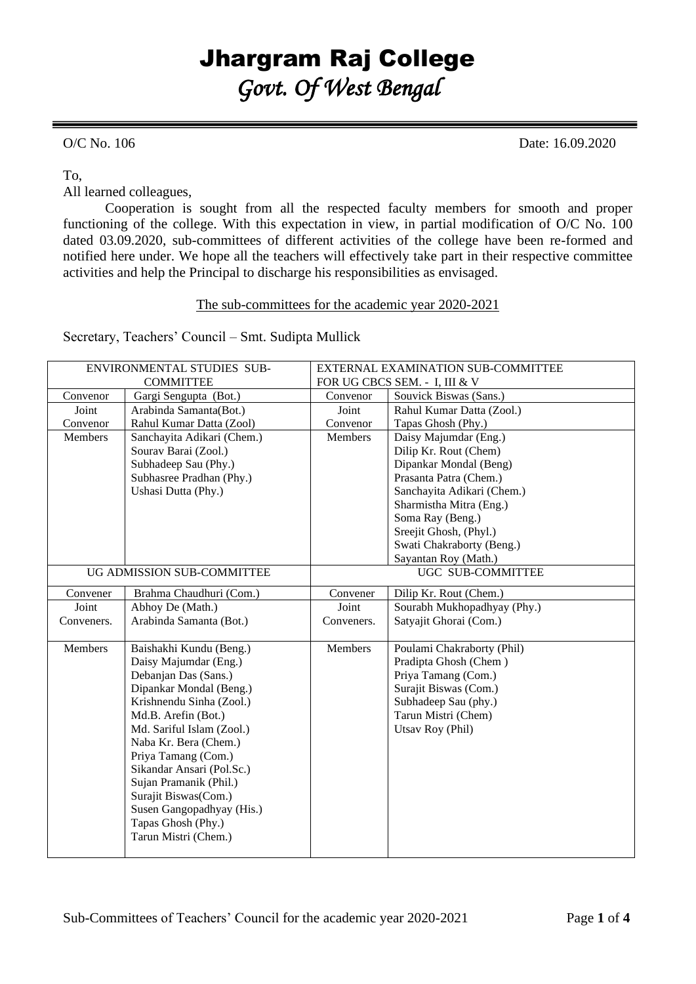## Jhargram Raj College *Govt. Of West Bengal*

O/C No. 106 Date: 16.09.2020

To,

All learned colleagues,

Cooperation is sought from all the respected faculty members for smooth and proper functioning of the college. With this expectation in view, in partial modification of O/C No. 100 dated 03.09.2020, sub-committees of different activities of the college have been re-formed and notified here under. We hope all the teachers will effectively take part in their respective committee activities and help the Principal to discharge his responsibilities as envisaged.

The sub-committees for the academic year 2020-2021

Secretary, Teachers' Council – Smt. Sudipta Mullick

| ENVIRONMENTAL STUDIES SUB- |                            | EXTERNAL EXAMINATION SUB-COMMITTEE |                             |
|----------------------------|----------------------------|------------------------------------|-----------------------------|
|                            | <b>COMMITTEE</b>           | FOR UG CBCS SEM. - I, III & V      |                             |
| Convenor                   | Gargi Sengupta (Bot.)      | Convenor                           | Souvick Biswas (Sans.)      |
| Joint                      | Arabinda Samanta(Bot.)     | Joint                              | Rahul Kumar Datta (Zool.)   |
| Convenor                   | Rahul Kumar Datta (Zool)   | Convenor                           | Tapas Ghosh (Phy.)          |
| <b>Members</b>             | Sanchayita Adikari (Chem.) | Members                            | Daisy Majumdar (Eng.)       |
|                            | Sourav Barai (Zool.)       |                                    | Dilip Kr. Rout (Chem)       |
|                            | Subhadeep Sau (Phy.)       |                                    | Dipankar Mondal (Beng)      |
|                            | Subhasree Pradhan (Phy.)   |                                    | Prasanta Patra (Chem.)      |
|                            | Ushasi Dutta (Phy.)        |                                    | Sanchayita Adikari (Chem.)  |
|                            |                            |                                    | Sharmistha Mitra (Eng.)     |
|                            |                            |                                    | Soma Ray (Beng.)            |
|                            |                            |                                    | Sreejit Ghosh, (Phyl.)      |
|                            |                            |                                    | Swati Chakraborty (Beng.)   |
|                            |                            |                                    | Sayantan Roy (Math.)        |
|                            | UG ADMISSION SUB-COMMITTEE |                                    | UGC SUB-COMMITTEE           |
| Convener                   | Brahma Chaudhuri (Com.)    | Convener                           | Dilip Kr. Rout (Chem.)      |
| Joint                      | Abhoy De (Math.)           | Joint                              | Sourabh Mukhopadhyay (Phy.) |
| Conveners.                 | Arabinda Samanta (Bot.)    | Conveners.                         | Satyajit Ghorai (Com.)      |
|                            |                            |                                    |                             |
| <b>Members</b>             | Baishakhi Kundu (Beng.)    | <b>Members</b>                     | Poulami Chakraborty (Phil)  |
|                            | Daisy Majumdar (Eng.)      |                                    | Pradipta Ghosh (Chem)       |
|                            | Debanjan Das (Sans.)       |                                    | Priya Tamang (Com.)         |
|                            | Dipankar Mondal (Beng.)    |                                    | Surajit Biswas (Com.)       |
|                            | Krishnendu Sinha (Zool.)   |                                    | Subhadeep Sau (phy.)        |
|                            | Md.B. Arefin (Bot.)        |                                    | Tarun Mistri (Chem)         |
|                            | Md. Sariful Islam (Zool.)  |                                    | Utsav Roy (Phil)            |
|                            | Naba Kr. Bera (Chem.)      |                                    |                             |
|                            | Priya Tamang (Com.)        |                                    |                             |
|                            | Sikandar Ansari (Pol.Sc.)  |                                    |                             |
|                            | Sujan Pramanik (Phil.)     |                                    |                             |
|                            | Surajit Biswas(Com.)       |                                    |                             |
|                            | Susen Gangopadhyay (His.)  |                                    |                             |
|                            | Tapas Ghosh (Phy.)         |                                    |                             |
|                            | Tarun Mistri (Chem.)       |                                    |                             |
|                            |                            |                                    |                             |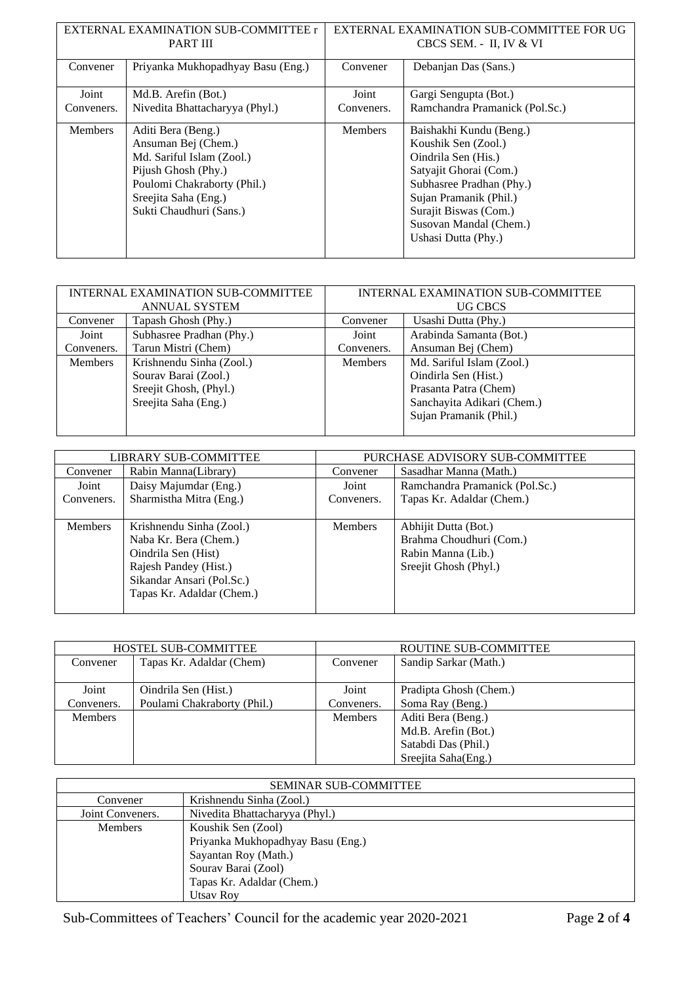| EXTERNAL EXAMINATION SUB-COMMITTEE r<br><b>PART III</b> |                                                                                                                                                                                 |                | EXTERNAL EXAMINATION SUB-COMMITTEE FOR UG<br>CBCS SEM. - II, IV & VI                                                                                                                                                            |
|---------------------------------------------------------|---------------------------------------------------------------------------------------------------------------------------------------------------------------------------------|----------------|---------------------------------------------------------------------------------------------------------------------------------------------------------------------------------------------------------------------------------|
| Convener                                                | Priyanka Mukhopadhyay Basu (Eng.)                                                                                                                                               | Convener       | Debanjan Das (Sans.)                                                                                                                                                                                                            |
| Joint                                                   | Md.B. Arefin (Bot.)                                                                                                                                                             | Joint          | Gargi Sengupta (Bot.)                                                                                                                                                                                                           |
| Conveners.                                              | Nivedita Bhattacharyya (Phyl.)                                                                                                                                                  | Conveners.     | Ramchandra Pramanick (Pol.Sc.)                                                                                                                                                                                                  |
| <b>Members</b>                                          | Aditi Bera (Beng.)<br>Ansuman Bej (Chem.)<br>Md. Sariful Islam (Zool.)<br>Pijush Ghosh (Phy.)<br>Poulomi Chakraborty (Phil.)<br>Sreejita Saha (Eng.)<br>Sukti Chaudhuri (Sans.) | <b>Members</b> | Baishakhi Kundu (Beng.)<br>Koushik Sen (Zool.)<br>Oindrila Sen (His.)<br>Satyajit Ghorai (Com.)<br>Subhasree Pradhan (Phy.)<br>Sujan Pramanik (Phil.)<br>Surajit Biswas (Com.)<br>Susovan Mandal (Chem.)<br>Ushasi Dutta (Phy.) |

| INTERNAL EXAMINATION SUB-COMMITTEE |                          | INTERNAL EXAMINATION SUB-COMMITTEE |                            |
|------------------------------------|--------------------------|------------------------------------|----------------------------|
| <b>ANNUAL SYSTEM</b>               |                          | <b>UG CBCS</b>                     |                            |
| Convener                           | Tapash Ghosh (Phy.)      | Convener                           | Usashi Dutta (Phy.)        |
| Joint                              | Subhasree Pradhan (Phy.) | Joint                              | Arabinda Samanta (Bot.)    |
| Conveners.                         | Tarun Mistri (Chem)      | Conveners.                         | Ansuman Bej (Chem)         |
| <b>Members</b>                     | Krishnendu Sinha (Zool.) | <b>Members</b>                     | Md. Sariful Islam (Zool.)  |
|                                    | Sourav Barai (Zool.)     |                                    | Oindirla Sen (Hist.)       |
|                                    | Sreejit Ghosh, (Phyl.)   |                                    | Prasanta Patra (Chem)      |
|                                    | Sreejita Saha (Eng.)     |                                    | Sanchayita Adikari (Chem.) |
|                                    |                          |                                    | Sujan Pramanik (Phil.)     |
|                                    |                          |                                    |                            |

| LIBRARY SUB-COMMITTEE |                           | PURCHASE ADVISORY SUB-COMMITTEE |                                |
|-----------------------|---------------------------|---------------------------------|--------------------------------|
| Convener              | Rabin Manna(Library)      | Convener                        | Sasadhar Manna (Math.)         |
| Joint                 | Daisy Majumdar (Eng.)     | Joint                           | Ramchandra Pramanick (Pol.Sc.) |
| Conveners.            | Sharmistha Mitra (Eng.)   | Conveners.                      | Tapas Kr. Adaldar (Chem.)      |
|                       |                           |                                 |                                |
| <b>Members</b>        | Krishnendu Sinha (Zool.)  | <b>Members</b>                  | Abhijit Dutta (Bot.)           |
|                       | Naba Kr. Bera (Chem.)     |                                 | Brahma Choudhuri (Com.)        |
|                       | Oindrila Sen (Hist)       |                                 | Rabin Manna (Lib.)             |
|                       | Rajesh Pandey (Hist.)     |                                 | Sreejit Ghosh (Phyl.)          |
|                       | Sikandar Ansari (Pol.Sc.) |                                 |                                |
|                       | Tapas Kr. Adaldar (Chem.) |                                 |                                |
|                       |                           |                                 |                                |

| <b>HOSTEL SUB-COMMITTEE</b> |                                                     | ROUTINE SUB-COMMITTEE |                                                                                         |
|-----------------------------|-----------------------------------------------------|-----------------------|-----------------------------------------------------------------------------------------|
| Convener                    | Tapas Kr. Adaldar (Chem)                            | Convener              | Sandip Sarkar (Math.)                                                                   |
| Joint<br>Conveners.         | Oindrila Sen (Hist.)<br>Poulami Chakraborty (Phil.) | Joint<br>Conveners.   | Pradipta Ghosh (Chem.)<br>Soma Ray (Beng.)                                              |
| <b>Members</b>              |                                                     | <b>Members</b>        | Aditi Bera (Beng.)<br>Md.B. Arefin (Bot.)<br>Satabdi Das (Phil.)<br>Sreejita Saha(Eng.) |

|                           | <b>SEMINAR SUB-COMMITTEE</b>      |  |  |
|---------------------------|-----------------------------------|--|--|
| Convener                  | Krishnendu Sinha (Zool.)          |  |  |
| Joint Conveners.          | Nivedita Bhattacharyya (Phyl.)    |  |  |
| <b>Members</b>            | Koushik Sen (Zool)                |  |  |
|                           | Priyanka Mukhopadhyay Basu (Eng.) |  |  |
| Sayantan Roy (Math.)      |                                   |  |  |
|                           | Sourav Barai (Zool)               |  |  |
| Tapas Kr. Adaldar (Chem.) |                                   |  |  |
|                           | <b>Utsay Roy</b>                  |  |  |

Sub-Committees of Teachers' Council for the academic year 2020-2021 Page **2** of **4**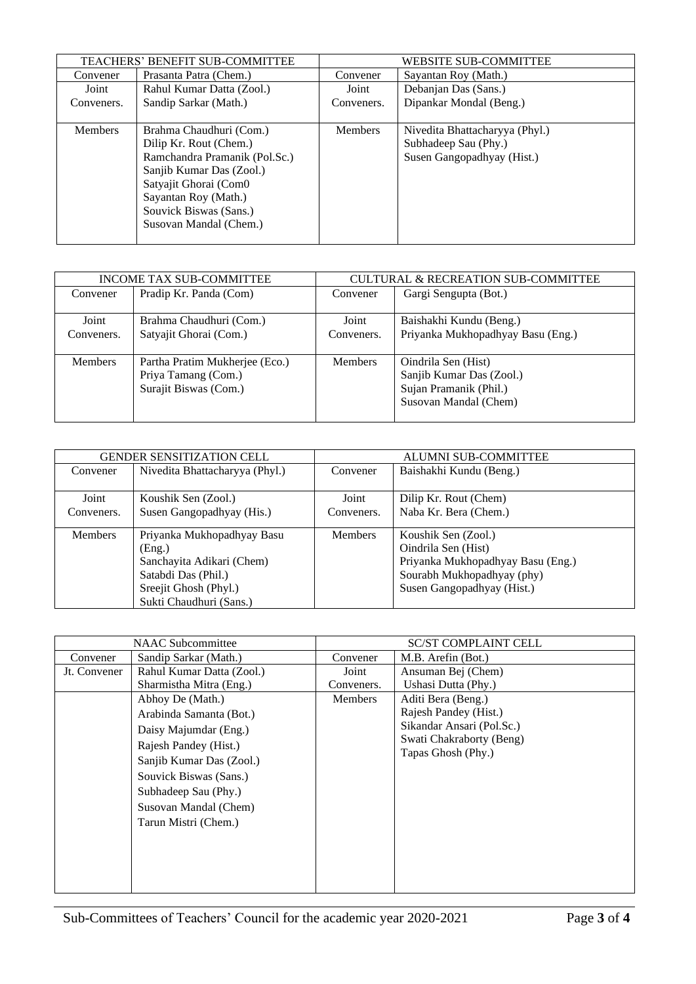|                | <b>TEACHERS' BENEFIT SUB-COMMITTEE</b> |                | <b>WEBSITE SUB-COMMITTEE</b>   |
|----------------|----------------------------------------|----------------|--------------------------------|
| Convener       | Prasanta Patra (Chem.)                 | Convener       | Sayantan Roy (Math.)           |
| Joint          | Rahul Kumar Datta (Zool.)              | Joint          | Debanjan Das (Sans.)           |
| Conveners.     | Sandip Sarkar (Math.)                  | Conveners.     | Dipankar Mondal (Beng.)        |
|                |                                        |                |                                |
| <b>Members</b> | Brahma Chaudhuri (Com.)                | <b>Members</b> | Nivedita Bhattacharyya (Phyl.) |
|                | Dilip Kr. Rout (Chem.)                 |                | Subhadeep Sau (Phy.)           |
|                | Ramchandra Pramanik (Pol.Sc.)          |                | Susen Gangopadhyay (Hist.)     |
|                | Sanjib Kumar Das (Zool.)               |                |                                |
|                | Satyajit Ghorai (Com0                  |                |                                |
|                | Sayantan Roy (Math.)                   |                |                                |
|                | Souvick Biswas (Sans.)                 |                |                                |
|                | Susovan Mandal (Chem.)                 |                |                                |
|                |                                        |                |                                |

| INCOME TAX SUB-COMMITTEE |                                                                                | <b>CULTURAL &amp; RECREATION SUB-COMMITTEE</b> |                                                                                                    |
|--------------------------|--------------------------------------------------------------------------------|------------------------------------------------|----------------------------------------------------------------------------------------------------|
| Convener                 | Pradip Kr. Panda (Com)                                                         | Convener                                       | Gargi Sengupta (Bot.)                                                                              |
| Joint                    | Brahma Chaudhuri (Com.)                                                        | Joint                                          | Baishakhi Kundu (Beng.)                                                                            |
| Conveners.               | Satyajit Ghorai (Com.)                                                         | Conveners.                                     | Priyanka Mukhopadhyay Basu (Eng.)                                                                  |
| <b>Members</b>           | Partha Pratim Mukherjee (Eco.)<br>Priya Tamang (Com.)<br>Surajit Biswas (Com.) | <b>Members</b>                                 | Oindrila Sen (Hist)<br>Sanjib Kumar Das (Zool.)<br>Sujan Pramanik (Phil.)<br>Susovan Mandal (Chem) |

| <b>GENDER SENSITIZATION CELL</b> |                                | <b>ALUMNI SUB-COMMITTEE</b> |                                   |
|----------------------------------|--------------------------------|-----------------------------|-----------------------------------|
| Convener                         | Nivedita Bhattacharyya (Phyl.) | Convener                    | Baishakhi Kundu (Beng.)           |
|                                  |                                |                             |                                   |
| Joint                            | Koushik Sen (Zool.)            | Joint                       | Dilip Kr. Rout (Chem)             |
| Conveners.                       | Susen Gangopadhyay (His.)      | Conveners.                  | Naba Kr. Bera (Chem.)             |
|                                  |                                |                             |                                   |
| <b>Members</b>                   | Priyanka Mukhopadhyay Basu     | <b>Members</b>              | Koushik Sen (Zool.)               |
|                                  | (Eng.)                         |                             | Oindrila Sen (Hist)               |
|                                  | Sanchayita Adikari (Chem)      |                             | Priyanka Mukhopadhyay Basu (Eng.) |
|                                  | Satabdi Das (Phil.)            |                             | Sourabh Mukhopadhyay (phy)        |
|                                  | Sreejit Ghosh (Phyl.)          |                             | Susen Gangopadhyay (Hist.)        |
|                                  | Sukti Chaudhuri (Sans.)        |                             |                                   |

|              | <b>NAAC</b> Subcommittee                                                                                                                                                                                                                                                             |                                       | <b>SC/ST COMPLAINT CELL</b>                                                                                                                                             |
|--------------|--------------------------------------------------------------------------------------------------------------------------------------------------------------------------------------------------------------------------------------------------------------------------------------|---------------------------------------|-------------------------------------------------------------------------------------------------------------------------------------------------------------------------|
| Convener     | Sandip Sarkar (Math.)                                                                                                                                                                                                                                                                | Convener                              | M.B. Arefin (Bot.)                                                                                                                                                      |
| Jt. Convener | Rahul Kumar Datta (Zool.)<br>Sharmistha Mitra (Eng.)<br>Abhoy De (Math.)<br>Arabinda Samanta (Bot.)<br>Daisy Majumdar (Eng.)<br>Rajesh Pandey (Hist.)<br>Sanjib Kumar Das (Zool.)<br>Souvick Biswas (Sans.)<br>Subhadeep Sau (Phy.)<br>Susovan Mandal (Chem)<br>Tarun Mistri (Chem.) | Joint<br>Conveners.<br><b>Members</b> | Ansuman Bej (Chem)<br>Ushasi Dutta (Phy.)<br>Aditi Bera (Beng.)<br>Rajesh Pandey (Hist.)<br>Sikandar Ansari (Pol.Sc.)<br>Swati Chakraborty (Beng)<br>Tapas Ghosh (Phy.) |
|              |                                                                                                                                                                                                                                                                                      |                                       |                                                                                                                                                                         |